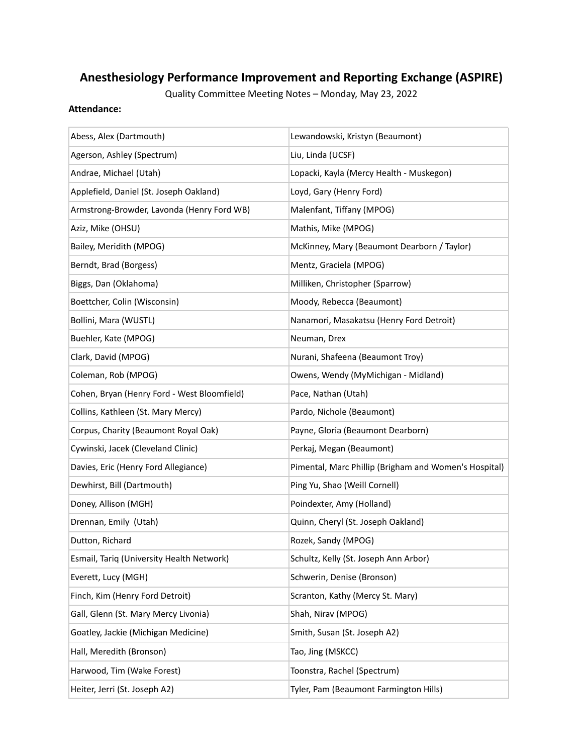# **Anesthesiology Performance Improvement and Reporting Exchange (ASPIRE)**

Quality Committee Meeting Notes – Monday, May 23, 2022

#### **Attendance:**

| Abess, Alex (Dartmouth)                     | Lewandowski, Kristyn (Beaumont)                       |
|---------------------------------------------|-------------------------------------------------------|
| Agerson, Ashley (Spectrum)                  | Liu, Linda (UCSF)                                     |
| Andrae, Michael (Utah)                      | Lopacki, Kayla (Mercy Health - Muskegon)              |
| Applefield, Daniel (St. Joseph Oakland)     | Loyd, Gary (Henry Ford)                               |
| Armstrong-Browder, Lavonda (Henry Ford WB)  | Malenfant, Tiffany (MPOG)                             |
| Aziz, Mike (OHSU)                           | Mathis, Mike (MPOG)                                   |
| Bailey, Meridith (MPOG)                     | McKinney, Mary (Beaumont Dearborn / Taylor)           |
| Berndt, Brad (Borgess)                      | Mentz, Graciela (MPOG)                                |
| Biggs, Dan (Oklahoma)                       | Milliken, Christopher (Sparrow)                       |
| Boettcher, Colin (Wisconsin)                | Moody, Rebecca (Beaumont)                             |
| Bollini, Mara (WUSTL)                       | Nanamori, Masakatsu (Henry Ford Detroit)              |
| Buehler, Kate (MPOG)                        | Neuman, Drex                                          |
| Clark, David (MPOG)                         | Nurani, Shafeena (Beaumont Troy)                      |
| Coleman, Rob (MPOG)                         | Owens, Wendy (MyMichigan - Midland)                   |
| Cohen, Bryan (Henry Ford - West Bloomfield) | Pace, Nathan (Utah)                                   |
| Collins, Kathleen (St. Mary Mercy)          | Pardo, Nichole (Beaumont)                             |
| Corpus, Charity (Beaumont Royal Oak)        | Payne, Gloria (Beaumont Dearborn)                     |
| Cywinski, Jacek (Cleveland Clinic)          | Perkaj, Megan (Beaumont)                              |
| Davies, Eric (Henry Ford Allegiance)        | Pimental, Marc Phillip (Brigham and Women's Hospital) |
| Dewhirst, Bill (Dartmouth)                  | Ping Yu, Shao (Weill Cornell)                         |
| Doney, Allison (MGH)                        | Poindexter, Amy (Holland)                             |
| Drennan, Emily (Utah)                       | Quinn, Cheryl (St. Joseph Oakland)                    |
| Dutton, Richard                             | Rozek, Sandy (MPOG)                                   |
| Esmail, Tariq (University Health Network)   | Schultz, Kelly (St. Joseph Ann Arbor)                 |
| Everett, Lucy (MGH)                         | Schwerin, Denise (Bronson)                            |
| Finch, Kim (Henry Ford Detroit)             | Scranton, Kathy (Mercy St. Mary)                      |
| Gall, Glenn (St. Mary Mercy Livonia)        | Shah, Nirav (MPOG)                                    |
| Goatley, Jackie (Michigan Medicine)         | Smith, Susan (St. Joseph A2)                          |
| Hall, Meredith (Bronson)                    | Tao, Jing (MSKCC)                                     |
| Harwood, Tim (Wake Forest)                  | Toonstra, Rachel (Spectrum)                           |
| Heiter, Jerri (St. Joseph A2)               | Tyler, Pam (Beaumont Farmington Hills)                |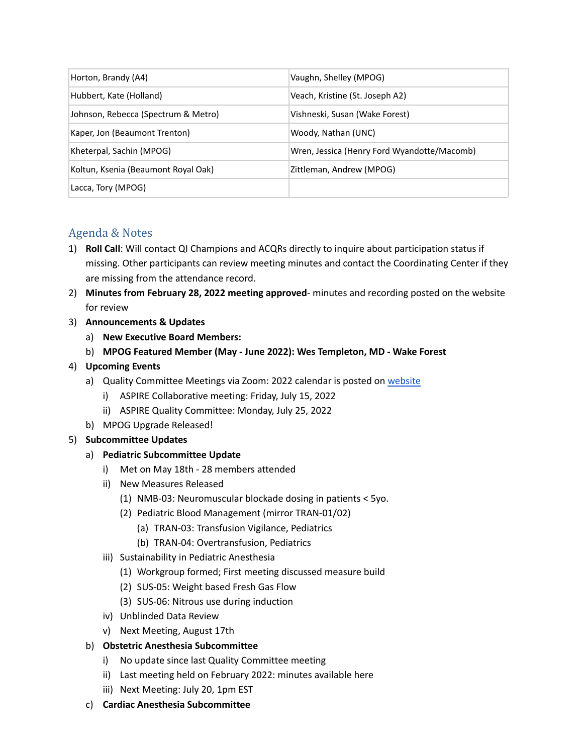| Horton, Brandy (A4)                 | Vaughn, Shelley (MPOG)                      |
|-------------------------------------|---------------------------------------------|
| Hubbert, Kate (Holland)             | Veach, Kristine (St. Joseph A2)             |
| Johnson, Rebecca (Spectrum & Metro) | Vishneski, Susan (Wake Forest)              |
| Kaper, Jon (Beaumont Trenton)       | Woody, Nathan (UNC)                         |
| Kheterpal, Sachin (MPOG)            | Wren, Jessica (Henry Ford Wyandotte/Macomb) |
| Koltun, Ksenia (Beaumont Royal Oak) | Zittleman, Andrew (MPOG)                    |
| Lacca, Tory (MPOG)                  |                                             |

# Agenda & Notes

- 1) **Roll Call**: Will contact QI Champions and ACQRs directly to inquire about participation status if missing. Other participants can review meeting minutes and contact the Coordinating Center if they are missing from the attendance record.
- 2) **Minutes from February 28, 2022 meeting approved** minutes and recording posted on the website for review
- 3) **Announcements & Updates**
	- a) **New Executive Board Members:**
	- b) **MPOG Featured Member (May - June 2022): Wes Templeton, MD - Wake Forest**

## 4) **Upcoming Events**

- a) Quality Committee Meetings via Zoom: 2022 calendar is posted on [website](https://mpog.org/calendar/)
	- i) ASPIRE Collaborative meeting: Friday, July 15, 2022
	- ii) ASPIRE Quality Committee: Monday, July 25, 2022
- b) MPOG Upgrade Released!

## 5) **Subcommittee Updates**

- a) **Pediatric Subcommittee Update**
	- i) Met on May 18th 28 members attended
	- ii) New Measures Released
		- (1) NMB-03: Neuromuscular blockade dosing in patients < 5yo.
		- (2) Pediatric Blood Management (mirror TRAN-01/02)
			- (a) TRAN-03: Transfusion Vigilance, Pediatrics
			- (b) TRAN-04: Overtransfusion, Pediatrics
	- iii) Sustainability in Pediatric Anesthesia
		- (1) Workgroup formed; First meeting discussed measure build
		- (2) SUS-05: Weight based Fresh Gas Flow
		- (3) SUS-06: Nitrous use during induction
	- iv) Unblinded Data Review
	- v) Next Meeting, August 17th

## b) **Obstetric Anesthesia Subcommittee**

- i) No update since last Quality Committee meeting
- ii) Last meeting held on February 2022: minutes available here
- iii) Next Meeting: July 20, 1pm EST
- c) **Cardiac Anesthesia Subcommittee**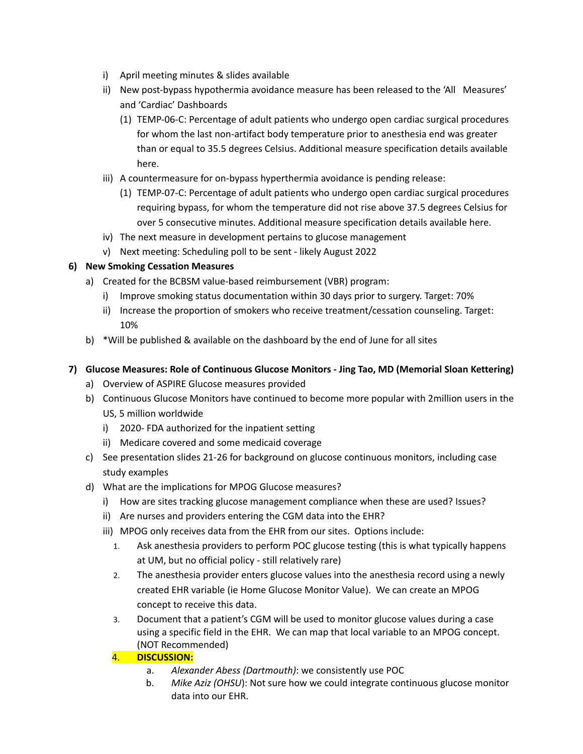- i) April meeting minutes & slides available
- ii) New post-bypass hypothermia avoidance measure has been released to the 'All Measures' and 'Cardiac' Dashboards
	- (1) TEMP-06-C: Percentage of adult patients who undergo open cardiac surgical procedures for whom the last non-artifact body temperature prior to anesthesia end was greater than or equal to 35.5 degrees Celsius. Additional measure specification details available here.
- iii) A countermeasure for on-bypass hyperthermia avoidance is pending release:
	- (1) TEMP-07-C: Percentage of adult patients who undergo open cardiac surgical procedures requiring bypass, for whom the temperature did not rise above 37.5 degrees Celsius for over 5 consecutive minutes. Additional measure specification details available here.
- iv) The next measure in development pertains to glucose management
- v) Next meeting: Scheduling poll to be sent likely August 2022

#### **6) New Smoking Cessation Measures**

- a) Created for the BCBSM value-based reimbursement (VBR) program:
	- i) Improve smoking status documentation within 30 days prior to surgery. Target: 70%
	- ii) Increase the proportion of smokers who receive treatment/cessation counseling. Target: 10%
- b) \*Will be published & available on the dashboard by the end of June for all sites

#### **7) Glucose Measures: Role of Continuous Glucose Monitors - Jing Tao, MD (Memorial Sloan Kettering)**

- a) Overview of ASPIRE Glucose measures provided
- b) Continuous Glucose Monitors have continued to become more popular with 2million users in the US, 5 million worldwide
	- i) 2020- FDA authorized for the inpatient setting
	- ii) Medicare covered and some medicaid coverage
- c) See presentation slides 21-26 for background on glucose continuous monitors, including case study examples
- d) What are the implications for MPOG Glucose measures?
	- i) How are sites tracking glucose management compliance when these are used? Issues?
	- ii) Are nurses and providers entering the CGM data into the EHR?
	- iii) MPOG only receives data from the EHR from our sites. Options include:
		- 1. Ask anesthesia providers to perform POC glucose testing (this is what typically happens at UM, but no official policy - still relatively rare)
		- 2. The anesthesia provider enters glucose values into the anesthesia record using a newly created EHR variable (ie Home Glucose Monitor Value). We can create an MPOG concept to receive this data.
		- 3. Document that a patient's CGM will be used to monitor glucose values during a case using a specific field in the EHR. We can map that local variable to an MPOG concept. (NOT Recommended)

#### 4. **DISCUSSION:**

- a. *Alexander Abess (Dartmouth)*: we consistently use POC
- b. *Mike Aziz (OHSU*): Not sure how we could integrate continuous glucose monitor data into our EHR.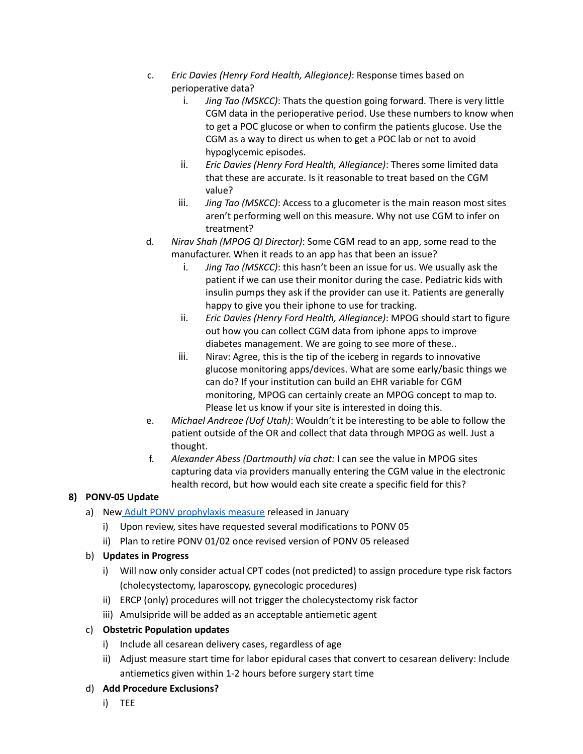- c. *Eric Davies (Henry Ford Health, Allegiance)*: Response times based on perioperative data?
	- i. *Jing Tao (MSKCC)*: Thats the question going forward. There is very little CGM data in the perioperative period. Use these numbers to know when to get a POC glucose or when to confirm the patients glucose. Use the CGM as a way to direct us when to get a POC lab or not to avoid hypoglycemic episodes.
	- ii. *Eric Davies (Henry Ford Health, Allegiance)*: Theres some limited data that these are accurate. Is it reasonable to treat based on the CGM value?
	- iii. *Jing Tao (MSKCC)*: Access to a glucometer is the main reason most sites aren't performing well on this measure. Why not use CGM to infer on treatment?
- d. *Nirav Shah (MPOG QI Director)*: Some CGM read to an app, some read to the manufacturer. When it reads to an app has that been an issue?
	- i. *Jing Tao (MSKCC)*: this hasn't been an issue for us. We usually ask the patient if we can use their monitor during the case. Pediatric kids with insulin pumps they ask if the provider can use it. Patients are generally happy to give you their iphone to use for tracking.
	- ii. *Eric Davies (Henry Ford Health, Allegiance)*: MPOG should start to figure out how you can collect CGM data from iphone apps to improve diabetes management. We are going to see more of these..
	- iii. Nirav: Agree, this is the tip of the iceberg in regards to innovative glucose monitoring apps/devices. What are some early/basic things we can do? If your institution can build an EHR variable for CGM monitoring, MPOG can certainly create an MPOG concept to map to. Please let us know if your site is interested in doing this.
- e. *Michael Andreae (Uof Utah)*: Wouldn't it be interesting to be able to follow the patient outside of the OR and collect that data through MPOG as well. Just a thought.
- f. *Alexander Abess (Dartmouth) via chat:* I can see the value in MPOG sites capturing data via providers manually entering the CGM value in the electronic health record, but how would each site create a specific field for this?

# **8) PONV-05 Update**

- a) New Adult PONV [prophylaxis](https://spec.mpog.org/Spec/Public/53) measure released in January
	- i) Upon review, sites have requested several modifications to PONV 05
	- ii) Plan to retire PONV 01/02 once revised version of PONV 05 released

# b) **Updates in Progress**

- i) Will now only consider actual CPT codes (not predicted) to assign procedure type risk factors (cholecystectomy, laparoscopy, gynecologic procedures)
- ii) ERCP (only) procedures will not trigger the cholecystectomy risk factor
- iii) Amulsipride will be added as an acceptable antiemetic agent

## c) **Obstetric Population updates**

- i) Include all cesarean delivery cases, regardless of age
- ii) Adjust measure start time for labor epidural cases that convert to cesarean delivery: Include antiemetics given within 1-2 hours before surgery start time

## d) **Add Procedure Exclusions?**

i) TEE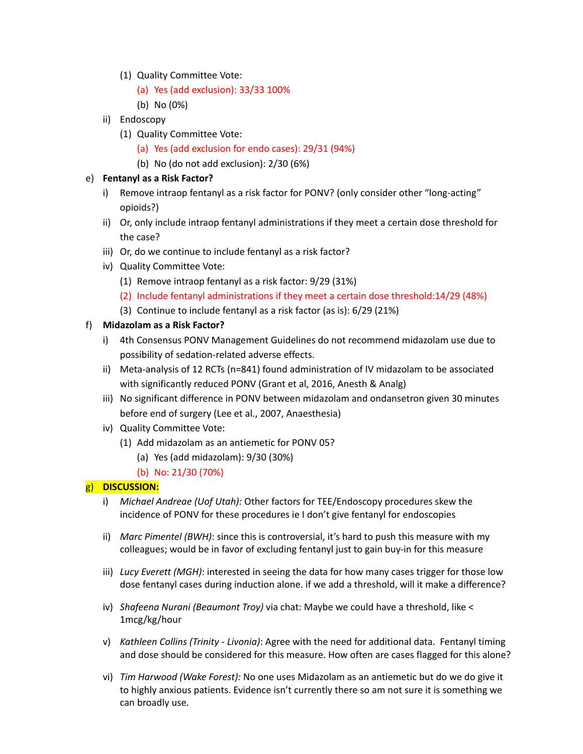- (1) Quality Committee Vote:
	- (a) Yes (add exclusion): 33/33 100%
	- (b) No (0%)
- ii) Endoscopy
	- (1) Quality Committee Vote:
		- (a) Yes (add exclusion for endo cases): 29/31 (94%)
		- (b) No (do not add exclusion): 2/30 (6%)

## e) **Fentanyl as a Risk Factor?**

- i) Remove intraop fentanyl as a risk factor for PONV? (only consider other "long-acting" opioids?)
- ii) Or, only include intraop fentanyl administrations if they meet a certain dose threshold for the case?
- iii) Or, do we continue to include fentanyl as a risk factor?
- iv) Quality Committee Vote:
	- (1) Remove intraop fentanyl as a risk factor: 9/29 (31%)
	- (2) Include fentanyl administrations if they meet a certain dose threshold:14/29 (48%)
	- (3) Continue to include fentanyl as a risk factor (as is): 6/29 (21%)
- f) **Midazolam as a Risk Factor?**
	- i) 4th Consensus PONV Management Guidelines do not recommend midazolam use due to possibility of sedation-related adverse effects.
	- ii) Meta-analysis of 12 RCTs (n=841) found administration of IV midazolam to be associated with significantly reduced PONV (Grant et al, 2016, Anesth & Analg)
	- iii) No significant difference in PONV between midazolam and ondansetron given 30 minutes before end of surgery (Lee et al., 2007, Anaesthesia)
	- iv) Quality Committee Vote:
		- (1) Add midazolam as an antiemetic for PONV 05?
			- (a) Yes (add midazolam): 9/30 (30%)
			- (b) No: 21/30 (70%)

# g) **DISCUSSION:**

- i) *Michael Andreae (Uof Utah):* Other factors for TEE/Endoscopy procedures skew the incidence of PONV for these procedures ie I don't give fentanyl for endoscopies
- ii) *Marc Pimentel (BWH)*: since this is controversial, it's hard to push this measure with my colleagues; would be in favor of excluding fentanyl just to gain buy-in for this measure
- iii) *Lucy Everett (MGH)*: interested in seeing the data for how many cases trigger for those low dose fentanyl cases during induction alone. if we add a threshold, will it make a difference?
- iv) *Shafeena Nurani (Beaumont Troy)* via chat: Maybe we could have a threshold, like < 1mcg/kg/hour
- v) *Kathleen Collins (Trinity - Livonia)*: Agree with the need for additional data. Fentanyl timing and dose should be considered for this measure. How often are cases flagged for this alone?
- vi) *Tim Harwood (Wake Forest):* No one uses Midazolam as an antiemetic but do we do give it to highly anxious patients. Evidence isn't currently there so am not sure it is something we can broadly use.